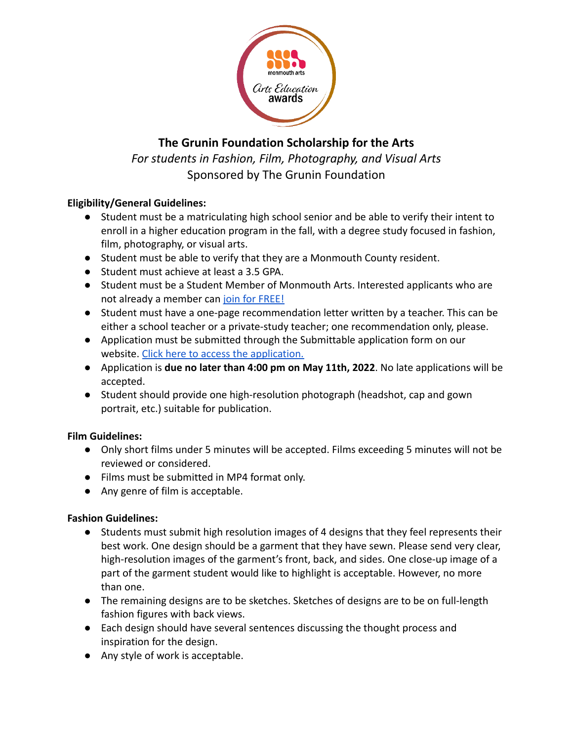

# **The Grunin Foundation Scholarship for the Arts**

*For students in Fashion, Film, Photography, and Visual Arts* Sponsored by The Grunin Foundation

## **Eligibility/General Guidelines:**

- Student must be a matriculating high school senior and be able to verify their intent to enroll in a higher education program in the fall, with a degree study focused in fashion, film, photography, or visual arts.
- Student must be able to verify that they are a Monmouth County resident.
- Student must achieve at least a 3.5 GPA.
- Student must be a Student Member of Monmouth Arts. Interested applicants who are not already a member can [join for FREE!](https://www.monmoutharts.org/join-us)
- Student must have a one-page recommendation letter written by a teacher. This can be either a school teacher or a private-study teacher; one recommendation only, please.
- Application must be submitted through the Submittable application form on our website. [Click here to access the application.](https://www.monmoutharts.org/visualartsscholarship)
- Application is **due no later than 4:00 pm on May 11th, 2022**. No late applications will be accepted.
- Student should provide one high-resolution photograph (headshot, cap and gown portrait, etc.) suitable for publication.

### **Film Guidelines:**

- Only short films under 5 minutes will be accepted. Films exceeding 5 minutes will not be reviewed or considered.
- Films must be submitted in MP4 format only.
- Any genre of film is acceptable.

### **Fashion Guidelines:**

- Students must submit high resolution images of 4 designs that they feel represents their best work. One design should be a garment that they have sewn. Please send very clear, high-resolution images of the garment's front, back, and sides. One close-up image of a part of the garment student would like to highlight is acceptable. However, no more than one.
- The remaining designs are to be sketches. Sketches of designs are to be on full-length fashion figures with back views.
- Each design should have several sentences discussing the thought process and inspiration for the design.
- Any style of work is acceptable.